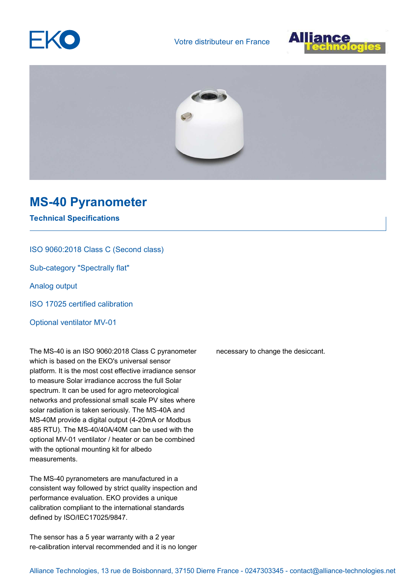





## **MS-40 Pyranometer**

**Technical Specifications**

## ISO 9060:2018 Class C (Second class)

Sub-category "Spectrally flat"

Analog output

ISO 17025 certified calibration

Optional ventilator MV-01

The MS-40 is an ISO 9060:2018 Class C pyranometer which is based on the EKO's universal sensor platform. It is the most cost effective irradiance sensor to measure Solar irradiance accross the full Solar spectrum. It can be used for agro meteorological networks and professional small scale PV sites where solar radiation is taken seriously. The MS-40A and MS-40M provide a digital output (4-20mA or Modbus 485 RTU). The MS-40/40A/40M can be used with the optional MV-01 ventilator / heater or can be combined with the optional mounting kit for albedo measurements.

The MS-40 pyranometers are manufactured in a consistent way followed by strict quality inspection and performance evaluation. EKO provides a unique calibration compliant to the international standards defined by ISO/IEC17025/9847.

The sensor has a 5 year warranty with a 2 year re-calibration interval recommended and it is no longer necessary to change the desiccant.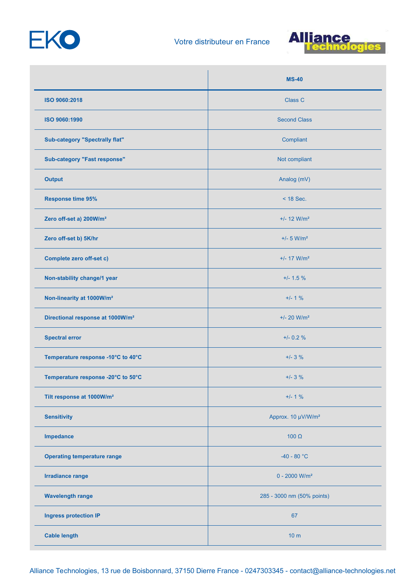



|                                              | $MS-40$                        |
|----------------------------------------------|--------------------------------|
| ISO 9060:2018                                | Class C                        |
| ISO 9060:1990                                | <b>Second Class</b>            |
| <b>Sub-category "Spectrally flat"</b>        | Compliant                      |
| <b>Sub-category "Fast response"</b>          | Not compliant                  |
| <b>Output</b>                                | Analog (mV)                    |
| <b>Response time 95%</b>                     | $<$ 18 Sec.                    |
| Zero off-set a) 200W/m <sup>2</sup>          | $+/- 12$ W/m <sup>2</sup>      |
| Zero off-set b) 5K/hr                        | $+/- 5$ W/m <sup>2</sup>       |
| <b>Complete zero off-set c)</b>              | $+/- 17$ W/m <sup>2</sup>      |
| Non-stability change/1 year                  | $+/- 1.5 \%$                   |
| Non-linearity at 1000W/m <sup>2</sup>        | $+/- 1 %$                      |
| Directional response at 1000W/m <sup>2</sup> | $+/- 20$ W/m <sup>2</sup>      |
| <b>Spectral error</b>                        | $+/- 0.2 %$                    |
| Temperature response -10°C to 40°C           | $+/- 3 %$                      |
| Temperature response -20°C to 50°C           | $+/- 3 \%$                     |
| Tilt response at 1000W/m <sup>2</sup>        | $+/- 1 %$                      |
| <b>Sensitivity</b>                           | Approx. 10 µV/W/m <sup>2</sup> |
| Impedance                                    | 100 $\Omega$                   |
| <b>Operating temperature range</b>           | $-40 - 80 °C$                  |
| <b>Irradiance range</b>                      | $0 - 2000$ W/m <sup>2</sup>    |
| <b>Wavelength range</b>                      | 285 - 3000 nm (50% points)     |
| <b>Ingress protection IP</b>                 | 67                             |
| <b>Cable length</b>                          | 10 <sub>m</sub>                |